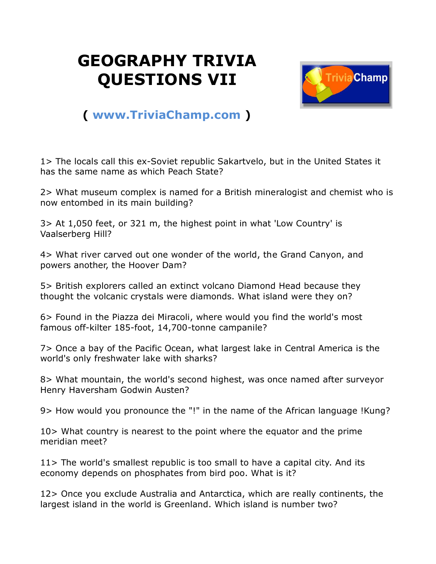## **GEOGRAPHY TRIVIA QUESTIONS VII**



## **( [www.TriviaChamp.com](http://www.triviachamp.com/) )**

1> The locals call this ex-Soviet republic Sakartvelo, but in the United States it has the same name as which Peach State?

2> What museum complex is named for a British mineralogist and chemist who is now entombed in its main building?

3> At 1,050 feet, or 321 m, the highest point in what 'Low Country' is Vaalserberg Hill?

4> What river carved out one wonder of the world, the Grand Canyon, and powers another, the Hoover Dam?

5> British explorers called an extinct volcano Diamond Head because they thought the volcanic crystals were diamonds. What island were they on?

6> Found in the Piazza dei Miracoli, where would you find the world's most famous off-kilter 185-foot, 14,700-tonne campanile?

7> Once a bay of the Pacific Ocean, what largest lake in Central America is the world's only freshwater lake with sharks?

8> What mountain, the world's second highest, was once named after surveyor Henry Haversham Godwin Austen?

9> How would you pronounce the "!" in the name of the African language !Kung?

10> What country is nearest to the point where the equator and the prime meridian meet?

11> The world's smallest republic is too small to have a capital city. And its economy depends on phosphates from bird poo. What is it?

12> Once you exclude Australia and Antarctica, which are really continents, the largest island in the world is Greenland. Which island is number two?